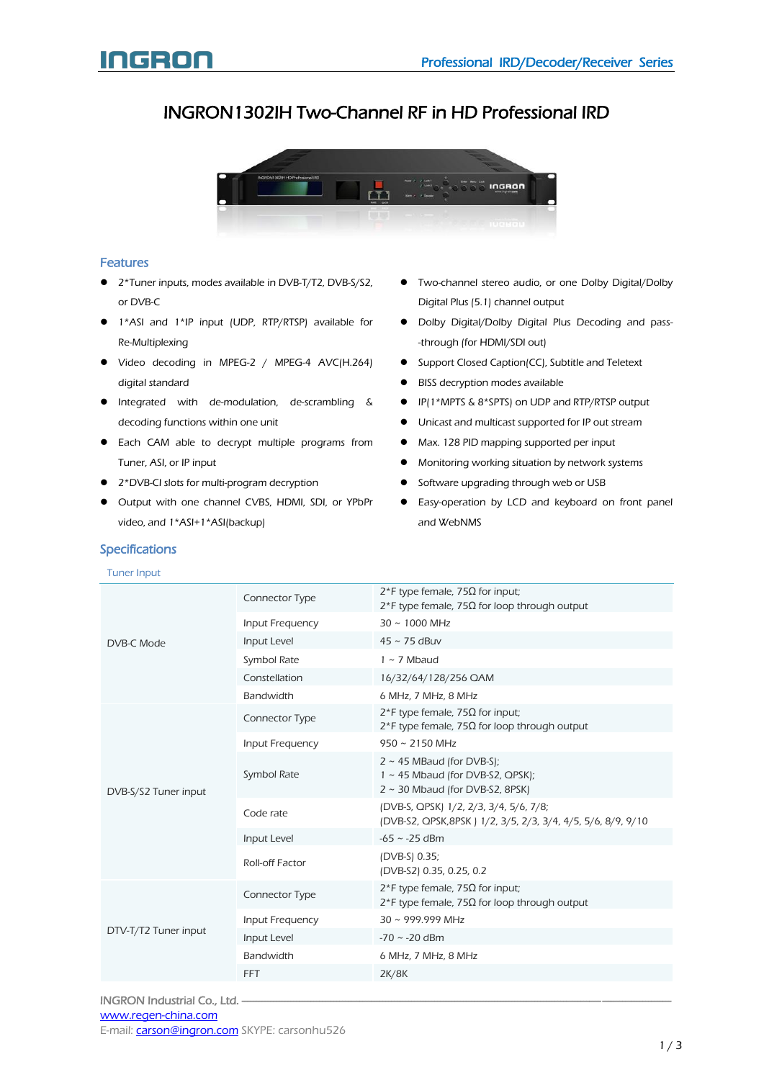### INGRON1302IH Two-Channel RF in HD Professional IRD



### Features

- 2\*Tuner inputs, modes available in DVB-T/T2, DVB-S/S2, or DVB-C
- 1\*ASI and 1\*IP input (UDP, RTP/RTSP) available for Re-Multiplexing
- Video decoding in MPEG-2 / MPEG-4 AVC(H.264) digital standard
- Integrated with de-modulation, de-scrambling & decoding functions within one unit
- **•** Each CAM able to decrypt multiple programs from Tuner, ASI, or IP input
- 2\*DVB-CI slots for multi-program decryption
- Output with one channel CVBS, HDMI, SDI, or YPbPr video, and 1\*ASI+1\*ASI(backup)

### Specifications

#### Tuner Input

- Two-channel stereo audio, or one Dolby Digital/Dolby Digital Plus (5.1) channel output
- Dolby Digital/Dolby Digital Plus Decoding and pass- -through (for HDMI/SDI out)
- **•** Support Closed Caption(CC), Subtitle and Teletext
- BISS decryption modes available
- IP(1\*MPTS & 8\*SPTS) on UDP and RTP/RTSP output
- Unicast and multicast supported for IP out stream
- Max. 128 PID mapping supported per input
- $\bullet$  Monitoring working situation by network systems
- Software upgrading through web or USB
- Easy-operation by LCD and keyboard on front panel and WebNMS

| DVB-C Mode           | Connector Type   | $2$ *F type female, 75Ω for input;<br>$2*$ F type female, 75 $\Omega$ for loop through output              |
|----------------------|------------------|------------------------------------------------------------------------------------------------------------|
|                      | Input Frequency  | $30 \sim 1000 \text{ MHz}$                                                                                 |
|                      | Input Level      | $45 \sim 75$ dBuv                                                                                          |
|                      | Symbol Rate      | $1 \sim 7$ Mbaud                                                                                           |
|                      | Constellation    | 16/32/64/128/256 QAM                                                                                       |
|                      | Bandwidth        | 6 MHz, 7 MHz, 8 MHz                                                                                        |
| DVB-S/S2 Tuner input | Connector Type   | $2*$ F type female, 75Ω for input;<br>$2*$ F type female, 75Ω for loop through output                      |
|                      | Input Frequency  | $950 \sim 2150$ MHz                                                                                        |
|                      | Symbol Rate      | $2 \sim 45$ MBaud (for DVB-S);<br>1 ~ 45 Mbaud (for DVB-S2, QPSK);<br>$2 \sim 30$ Mbaud (for DVB-S2, 8PSK) |
|                      | Code rate        | (DVB-S, QPSK) 1/2, 2/3, 3/4, 5/6, 7/8;<br>(DVB-S2, QPSK, 8PSK) 1/2, 3/5, 2/3, 3/4, 4/5, 5/6, 8/9, 9/10     |
|                      | Input Level      | $-65 \sim -25$ dBm                                                                                         |
|                      | Roll-off Factor  | (DVB-S) 0.35;<br>(DVB-S2) 0.35, 0.25, 0.2                                                                  |
| DTV-T/T2 Tuner input | Connector Type   | $2$ *F type female, 75Ω for input;<br>$2*$ F type female, 75Ω for loop through output                      |
|                      | Input Frequency  | $30 \sim 999.999$ MHz                                                                                      |
|                      | Input Level      | $-70 \sim -20$ dBm                                                                                         |
|                      | <b>Bandwidth</b> | 6 MHz, 7 MHz, 8 MHz                                                                                        |
|                      | <b>FFT</b>       | 2K/8K                                                                                                      |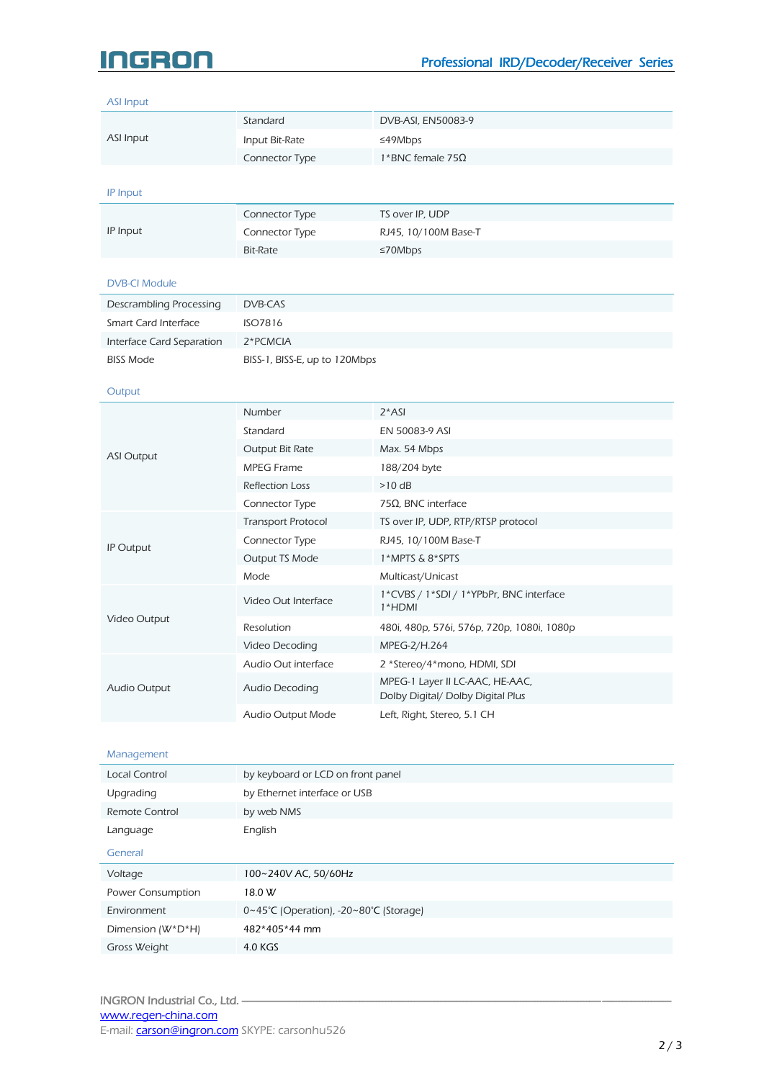# Ideo

### ASI Input ASI Input Standard DVB-ASI, EN50083-9 Input Bit-Rate ≤49Mbps Connector Type 1\*BNC female 75Ω IP Input IP Input Connector Type TS over IP, UDP Connector Type RJ45, 10/100M Base-T Bit-Rate ≤70Mbps DVB-CI Module Descrambling Processing DVB-CAS Smart Card Interface ISO7816 Interface Card Separation 2\*PCMCIA BISS Mode BISS-1, BISS-E, up to 120Mbps **Output** ASI Output Number 2\*ASI Standard EN 50083-9 ASI Output Bit Rate Max. 54 Mbps MPEG Frame 188/204 byte Reflection Loss >10 dB Connector Type 75Ω, BNC interface IP Output Transport Protocol TS over IP, UDP, RTP/RTSP protocol Connector Type RJ45, 10/100M Base-T Output TS Mode 1\*MPTS & 8\*SPTS Mode Multicast/Unicast Video Output Video Out Interface 1\*CVBS / 1\*SDI / 1\*YPbPr, BNC interface 1\*HDMI Resolution 480i, 480p, 576i, 576p, 720p, 1080i, 1080p Video Decoding MPEG-2/H.264 Audio Output Audio Out interface 2 \*Stereo/4\*mono, HDMI, SDI Audio Decoding MPEG-1 Layer II LC-AAC, HE-AAC, Dolby Digital/ Dolby Digital Plus Audio Output Mode Left, Right, Stereo, 5.1 CH Management Local Control by keyboard or LCD on front panel Upgrading by Ethernet interface or USB Remote Control by web NMS Language **English** General Voltage 100~240V AC, 50/60Hz Power Consumption 18.0 W Environment 0~45°C (Operation), -20~80°C (Storage) Dimension (W\*D\*H) 482\*405\*44 mm

Gross Weight 4.0 KGS